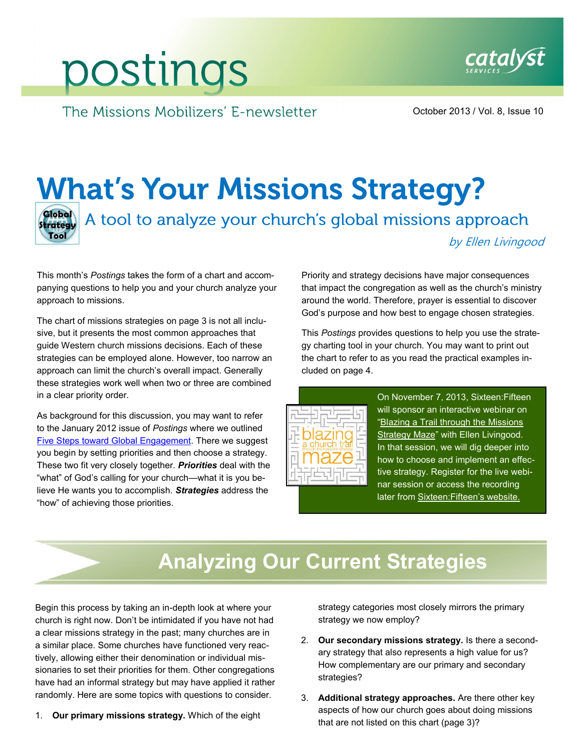# postings

The Missions Mobilizers' E-newsletter

October 2013 / Vol. 8, Issue 10

## **What's Your Missions Strategy?**

**Global**<br>Strategy Tool

A tool to analyze your church's global missions approach

by Ellen Livingood

This month's *Postings* takes the form of a chart and accompanying questions to help you and your church analyze your approach to missions.

The chart of missions strategies on page 3 is not all inclusive, but it presents the most common approaches that guide Western church missions decisions. Each of these strategies can be employed alone. However, too narrow an approach can limit the church's overall impact. Generally these strategies work well when two or three are combined in a clear priority order.

As background for this discussion, you may want to refer to the January 2012 issue of *Postings* where we outlined [Five Steps toward Global Engagement.](http://www.catalystservices.org/wp-content/uploads/2012/07/5-Steps.pdf) There we suggest you begin by setting priorities and then choose a strategy. These two fit very closely together. *Priorities* deal with the "what" of God's calling for your church—what it is you believe He wants you to accomplish. *Strategies* address the "how" of achieving those priorities.

Priority and strategy decisions have major consequences that impact the congregation as well as the church's ministry around the world. Therefore, prayer is essential to discover God's purpose and how best to engage chosen strategies.

This *Postings* provides questions to help you use the strategy charting tool in your church. You may want to print out the chart to refer to as you read the practical examples included on page 4.



 On November 7, 2013, Sixteen:Fifteen will sponsor an interactive webinar on ["Blazing a Trail through the Missions](http://www.1615.org/events/more/624/)  [Strategy Maze"](http://www.1615.org/events/more/624/) with Ellen Livingood. In that session, we will dig deeper into how to choose and implement an effective strategy. Register for the live webinar session or access the recording later from **Sixteen: Fifteen's website.** 

## **Analyzing Our Current Strategies**

Begin this process by taking an in-depth look at where your church is right now. Don't be intimidated if you have not had a clear missions strategy in the past; many churches are in a similar place. Some churches have functioned very reactively, allowing either their denomination or individual missionaries to set their priorities for them. Other congregations have had an informal strategy but may have applied it rather randomly. Here are some topics with questions to consider.

1. **Our primary missions strategy.** Which of the eight

strategy categories most closely mirrors the primary strategy we now employ?

- 2. **Our secondary missions strategy.** Is there a secondary strategy that also represents a high value for us? How complementary are our primary and secondary strategies?
- 3. **Additional strategy approaches.** Are there other key aspects of how our church goes about doing missions that are not listed on this chart (page 3)?

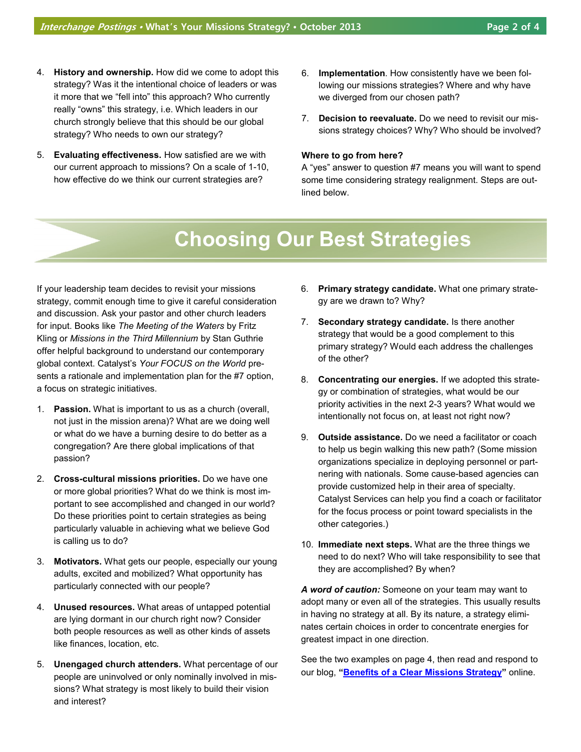- 4. **History and ownership.** How did we come to adopt this strategy? Was it the intentional choice of leaders or was it more that we "fell into" this approach? Who currently really "owns" this strategy, i.e. Which leaders in our church strongly believe that this should be our global strategy? Who needs to own our strategy?
- 5. **Evaluating effectiveness.** How satisfied are we with our current approach to missions? On a scale of 1-10, how effective do we think our current strategies are?
- 6. **Implementation**. How consistently have we been following our missions strategies? Where and why have we diverged from our chosen path?
- 7. **Decision to reevaluate.** Do we need to revisit our missions strategy choices? Why? Who should be involved?

#### **Where to go from here?**

A "yes" answer to question #7 means you will want to spend some time considering strategy realignment. Steps are outlined below.

## **Choosing Our Best Strategies**

If your leadership team decides to revisit your missions strategy, commit enough time to give it careful consideration and discussion. Ask your pastor and other church leaders for input. Books like *The Meeting of the Waters* by Fritz Kling or *Missions in the Third Millennium* by Stan Guthrie offer helpful background to understand our contemporary global context. Catalyst's *Your FOCUS on the World* presents a rationale and implementation plan for the #7 option, a focus on strategic initiatives.

- 1. **Passion.** What is important to us as a church (overall, not just in the mission arena)? What are we doing well or what do we have a burning desire to do better as a congregation? Are there global implications of that passion?
- 2. **Cross-cultural missions priorities.** Do we have one or more global priorities? What do we think is most important to see accomplished and changed in our world? Do these priorities point to certain strategies as being particularly valuable in achieving what we believe God is calling us to do?
- 3. **Motivators.** What gets our people, especially our young adults, excited and mobilized? What opportunity has particularly connected with our people?
- 4. **Unused resources.** What areas of untapped potential are lying dormant in our church right now? Consider both people resources as well as other kinds of assets like finances, location, etc.
- 5. **Unengaged church attenders.** What percentage of our people are uninvolved or only nominally involved in missions? What strategy is most likely to build their vision and interest?
- 6. **Primary strategy candidate.** What one primary strategy are we drawn to? Why?
- 7. **Secondary strategy candidate.** Is there another strategy that would be a good complement to this primary strategy? Would each address the challenges of the other?
- 8. **Concentrating our energies.** If we adopted this strategy or combination of strategies, what would be our priority activities in the next 2-3 years? What would we intentionally not focus on, at least not right now?
- 9. **Outside assistance.** Do we need a facilitator or coach to help us begin walking this new path? (Some mission organizations specialize in deploying personnel or partnering with nationals. Some cause-based agencies can provide customized help in their area of specialty. Catalyst Services can help you find a coach or facilitator for the focus process or point toward specialists in the other categories.)
- 10. **Immediate next steps.** What are the three things we need to do next? Who will take responsibility to see that they are accomplished? By when?

*A word of caution:* Someone on your team may want to adopt many or even all of the strategies. This usually results in having no strategy at all. By its nature, a strategy eliminates certain choices in order to concentrate energies for greatest impact in one direction.

See the two examples on page 4, then read and respond to our blog, **"[Benefits of a Clear Missions Strategy"](http://www.catalystservices.org/the-benefits-of-a-clear-missions-strategy)** online.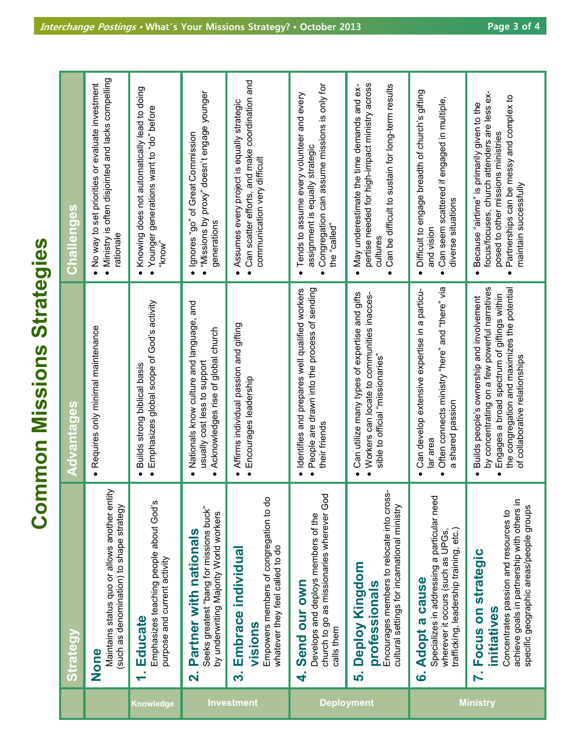**Common Missions Strategies Common Missions Strategies**

|                   | <b>Strategy</b>                                                                                                                                                         | Advantages                                                                                                                                                                                                                               | <b>Challenges</b>                                                                                                                                                                                         |
|-------------------|-------------------------------------------------------------------------------------------------------------------------------------------------------------------------|------------------------------------------------------------------------------------------------------------------------------------------------------------------------------------------------------------------------------------------|-----------------------------------------------------------------------------------------------------------------------------------------------------------------------------------------------------------|
|                   | Maintains status quo or allows another entity<br>(such as denomination) to shape strategy<br>None                                                                       | · Requires only minimal maintenance                                                                                                                                                                                                      | · Ministry is often disjointed and lacks compelling<br>No way to set priorities or evaluate investment<br>rationale<br>$\bullet$                                                                          |
| <b>Knowledge</b>  | Emphasizes teaching people about God's<br>purpose and current activity<br>1. Educate                                                                                    | · Emphasizes global scope of God's activity<br>Builds strong biblical basis<br>$\bullet$                                                                                                                                                 | Knowing does not automatically lead to doing<br>• Younger generations want to "do" before<br>"know"<br>$\bullet$                                                                                          |
|                   | Seeks greatest "bang for missions buck"<br>by underwriting Majority World workers<br>Partner with nationals<br>$\overline{\mathbf{N}}$                                  | Nationals know culture and language, and<br>Acknowledges rise of global church<br>usually cost less to support<br>$\bullet$<br>$\bullet$                                                                                                 | · "Missions by proxy" doesn't engage younger<br>Ignores "go" of Great Commission<br>generations<br>$\bullet$                                                                                              |
| Investment        | Empowers members of congregation to do<br>whatever they feel called to do<br>Embrace individual<br>visions<br>က                                                         | Affirms individual passion and gifting<br>· Encourages leadership<br>$\bullet$                                                                                                                                                           | Can scatter efforts, and make coordination and<br>Assumes every project is equally strategic<br>communication very difficult<br>$\bullet$<br>$\bullet$                                                    |
| <b>Deployment</b> | church to go as missionaries wherever God<br>Develops and deploys members of the<br>Send our own<br>calls them<br>4.                                                    | People are drawn into the process of sending<br>Identifies and prepares well qualified workers<br>their friends<br>$\bullet$                                                                                                             | Congregation can assume missions is only for<br>Tends to assume every volunteer and every<br>assignment is equally strategic<br>"called"                                                                  |
|                   | Encourages members to relocate into cross<br>cultural settings for incarnational ministry<br>Deploy Kingdom<br>professionals<br><u> ဟ</u>                               | Can utilize many types of expertise and gifts<br>Workers can locate to communities inacces-<br>sible to official "missionaries"<br>$\bullet$                                                                                             | pertise needed for high-impact ministry across<br>Can be difficult to sustain for long-term results<br>May underestimate the time demands and ex-<br>cultures                                             |
|                   | Specializes in addressing a particular need<br>trafficking, leadership training, etc.)<br>wherever it occurs (such as UPGs<br>6. Adopt a cause                          | Often connects ministry "here" and "there" via<br>Can develop extensive expertise in a particu-<br>a shared passion<br>lar area                                                                                                          | Difficult to engage breadth of church's gifting<br>Can seem scattered if engaged in multiple,<br>diverse situations<br>and vision<br>$\bullet$                                                            |
| <b>Ministry</b>   | achieve goals in partnership with others in<br>specific geographic areas/people groups<br>Concentrates passion and resources to<br>7. Focus on strategic<br>initiatives | by concentrating on a few powerful narratives<br>the congregation and maximizes the potential<br>Engages a broad spectrum of giftings within<br>Builds people's ownership and involvement<br>of collaborative relationships<br>$\bullet$ | less ex-<br>Partnerships can be messy and complex to<br>Because "airtime" is primarily given to the<br>focus/focuses, church attenders are<br>posed to other missions ministries<br>maintain successfully |